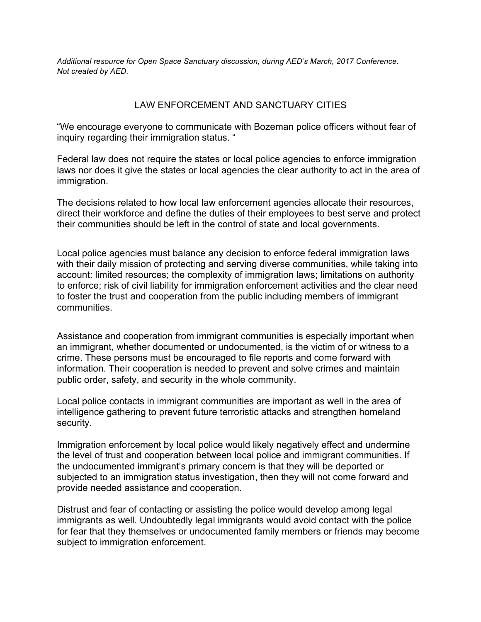*Additional resource for Open Space Sanctuary discussion, during AED's March, 2017 Conference. Not created by AED.*

## LAW ENFORCEMENT AND SANCTUARY CITIES

"We encourage everyone to communicate with Bozeman police officers without fear of inquiry regarding their immigration status. "

Federal law does not require the states or local police agencies to enforce immigration laws nor does it give the states or local agencies the clear authority to act in the area of immigration.

The decisions related to how local law enforcement agencies allocate their resources, direct their workforce and define the duties of their employees to best serve and protect their communities should be left in the control of state and local governments.

Local police agencies must balance any decision to enforce federal immigration laws with their daily mission of protecting and serving diverse communities, while taking into account: limited resources; the complexity of immigration laws; limitations on authority to enforce; risk of civil liability for immigration enforcement activities and the clear need to foster the trust and cooperation from the public including members of immigrant communities.

Assistance and cooperation from immigrant communities is especially important when an immigrant, whether documented or undocumented, is the victim of or witness to a crime. These persons must be encouraged to file reports and come forward with information. Their cooperation is needed to prevent and solve crimes and maintain public order, safety, and security in the whole community.

Local police contacts in immigrant communities are important as well in the area of intelligence gathering to prevent future terroristic attacks and strengthen homeland security.

Immigration enforcement by local police would likely negatively effect and undermine the level of trust and cooperation between local police and immigrant communities. If the undocumented immigrant's primary concern is that they will be deported or subjected to an immigration status investigation, then they will not come forward and provide needed assistance and cooperation.

Distrust and fear of contacting or assisting the police would develop among legal immigrants as well. Undoubtedly legal immigrants would avoid contact with the police for fear that they themselves or undocumented family members or friends may become subject to immigration enforcement.